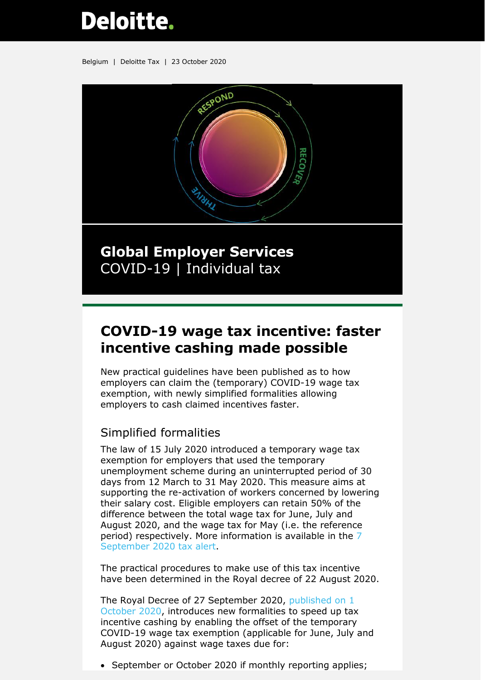# **Deloitte.**

Belgium | Deloitte Tax | 23 October 2020



## **Global Employer Services** COVID-19 | Individual tax

# **COVID-19 wage tax incentive: faster incentive cashing made possible**

New practical guidelines have been published as to how employers can claim the (temporary) COVID-19 wage tax exemption, with newly simplified formalities allowing employers to cash claimed incentives faster.

## Simplified formalities

The law of 15 July 2020 introduced a temporary wage tax exemption for employers that used the temporary unemployment scheme during an uninterrupted period of 30 days from 12 March to 31 May 2020. This measure aims at supporting the re-activation of workers concerned by lowering their salary cost. Eligible employers can retain 50% of the difference between the total wage tax for June, July and August 2020, and the wage tax for May (i.e. the reference period) respectively. More information is available in the [7](https://www2.deloitte.com/content/dam/Deloitte/be/Documents/tax/TaxAlerts/IndividualTaxAlerts/Individual%20tax%20alert%20-%20Update%20on%20overtime%20remuneration%20and%20wage%20withholding%20tax%20incentive%20-%207%20Sept%202020.pdf)  [September 2020 tax alert.](https://www2.deloitte.com/content/dam/Deloitte/be/Documents/tax/TaxAlerts/IndividualTaxAlerts/Individual%20tax%20alert%20-%20Update%20on%20overtime%20remuneration%20and%20wage%20withholding%20tax%20incentive%20-%207%20Sept%202020.pdf)

The practical procedures to make use of this tax incentive have been determined in the Royal decree of 22 August 2020.

The Royal Decree of 27 September 2020, [published on](http://www.ejustice.just.fgov.be/mopdf/2020/10/01_1.pdf#Page45) 1 [October 2020,](http://www.ejustice.just.fgov.be/mopdf/2020/10/01_1.pdf#Page45) introduces new formalities to speed up tax incentive cashing by enabling the offset of the temporary COVID-19 wage tax exemption (applicable for June, July and August 2020) against wage taxes due for:

• September or October 2020 if monthly reporting applies;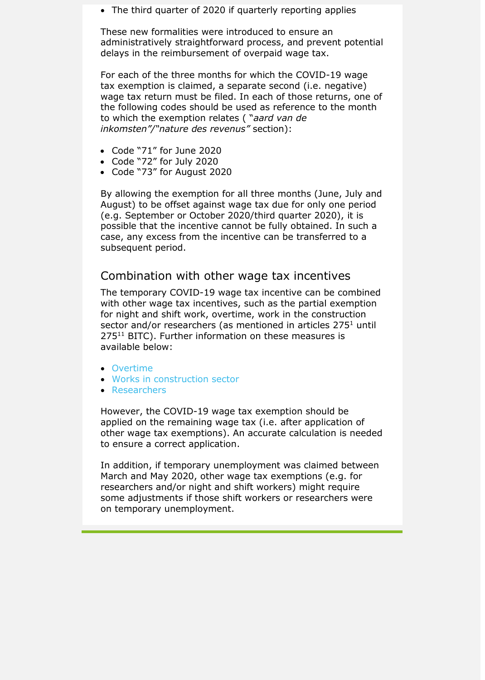• The third quarter of 2020 if quarterly reporting applies

These new formalities were introduced to ensure an administratively straightforward process, and prevent potential delays in the reimbursement of overpaid wage tax.

For each of the three months for which the COVID-19 wage tax exemption is claimed, a separate second (i.e. negative) wage tax return must be filed. In each of those returns, one of the following codes should be used as reference to the month to which the exemption relates ( "*aard van de inkomsten"/"nature des revenus"* section):

- Code "71" for June 2020
- Code "72" for July 2020
- Code "73" for August 2020

By allowing the exemption for all three months (June, July and August) to be offset against wage tax due for only one period (e.g. September or October 2020/third quarter 2020), it is possible that the incentive cannot be fully obtained. In such a case, any excess from the incentive can be transferred to a subsequent period.

## Combination with other wage tax incentives

The temporary COVID-19 wage tax incentive can be combined with other wage tax incentives, such as the partial exemption for night and shift work, overtime, work in the construction sector and/or researchers (as mentioned in articles 275<sup>1</sup> until 275<sup>11</sup> BITC). Further information on these measures is available below:

- [Overtime](https://www2.deloitte.com/content/dam/Deloitte/be/Documents/tax/TaxAlerts/IndividualTaxAlerts/Individual%20tax%20alert%20-%20Overtime%20and%20partial%20exemption%20WHT%20-%2016%2009%202019.pdf)
- [Works in construction](https://www2.deloitte.com/content/dam/Deloitte/be/Documents/tax/TaxAlerts/IndividualTaxAlerts/Individual%20tax%20alert%20-%20New%20FAQ%20for%20wage%20tax%20incentive%20for%20real%20estate%20works%20and%20shift%20work%20on%20location%20-%2023%20Apr%202020.pdf) sector
- [Researchers](https://www2.deloitte.com/content/dam/Deloitte/be/Documents/tax/TaxAlerts/RandDTaxAlerts/RnD%20tax%20alert%20-%20Researcher%20withholding%20tax%20exemption%20extended%20-%2015%20Nov%202....pdf)

However, the COVID-19 wage tax exemption should be applied on the remaining wage tax (i.e. after application of other wage tax exemptions). An accurate calculation is needed to ensure a correct application.

In addition, if temporary unemployment was claimed between March and May 2020, other wage tax exemptions (e.g. for researchers and/or night and shift workers) might require some adjustments if those shift workers or researchers were on temporary unemployment.